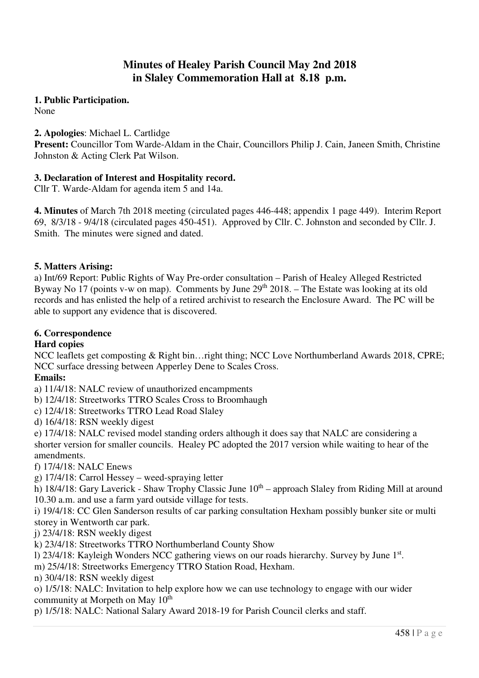# **Minutes of Healey Parish Council May 2nd 2018 in Slaley Commemoration Hall at 8.18 p.m.**

# **1. Public Participation.**

None

# **2. Apologies**: Michael L. Cartlidge

**Present:** Councillor Tom Warde-Aldam in the Chair, Councillors Philip J. Cain, Janeen Smith, Christine Johnston & Acting Clerk Pat Wilson.

# **3. Declaration of Interest and Hospitality record.**

Cllr T. Warde-Aldam for agenda item 5 and 14a.

**4. Minutes** of March 7th 2018 meeting (circulated pages 446-448; appendix 1 page 449). Interim Report 69, 8/3/18 - 9/4/18 (circulated pages 450-451). Approved by Cllr. C. Johnston and seconded by Cllr. J. Smith. The minutes were signed and dated.

# **5. Matters Arising:**

a) Int/69 Report: Public Rights of Way Pre-order consultation – Parish of Healey Alleged Restricted Byway No 17 (points v-w on map). Comments by June 29<sup>th</sup> 2018. – The Estate was looking at its old records and has enlisted the help of a retired archivist to research the Enclosure Award. The PC will be able to support any evidence that is discovered.

# **6. Correspondence**

# **Hard copies**

NCC leaflets get composting & Right bin…right thing; NCC Love Northumberland Awards 2018, CPRE; NCC surface dressing between Apperley Dene to Scales Cross.

# **Emails:**

a) 11/4/18: NALC review of unauthorized encampments

b) 12/4/18: Streetworks TTRO Scales Cross to Broomhaugh

c) 12/4/18: Streetworks TTRO Lead Road Slaley

d) 16/4/18: RSN weekly digest

e) 17/4/18: NALC revised model standing orders although it does say that NALC are considering a shorter version for smaller councils. Healey PC adopted the 2017 version while waiting to hear of the amendments.

f) 17/4/18: NALC Enews

g) 17/4/18: Carrol Hessey – weed-spraying letter

h)  $18/4/18$ : Gary Laverick - Shaw Trophy Classic June  $10<sup>th</sup>$  – approach Slaley from Riding Mill at around 10.30 a.m. and use a farm yard outside village for tests.

i) 19/4/18: CC Glen Sanderson results of car parking consultation Hexham possibly bunker site or multi storey in Wentworth car park.

j) 23/4/18: RSN weekly digest

k) 23/4/18: Streetworks TTRO Northumberland County Show

1) 23/4/18: Kayleigh Wonders NCC gathering views on our roads hierarchy. Survey by June 1st.

m) 25/4/18: Streetworks Emergency TTRO Station Road, Hexham.

n) 30/4/18: RSN weekly digest

o) 1/5/18: NALC: Invitation to help explore how we can use technology to engage with our wider community at Morpeth on May 10<sup>th</sup>

p) 1/5/18: NALC: National Salary Award 2018-19 for Parish Council clerks and staff.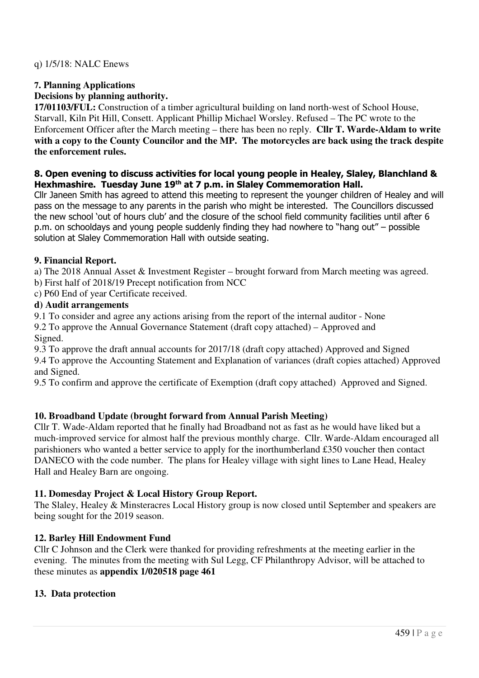# **7. Planning Applications**

# **Decisions by planning authority.**

**17/01103/FUL:** Construction of a timber agricultural building on land north-west of School House, Starvall, Kiln Pit Hill, Consett. Applicant Phillip Michael Worsley. Refused – The PC wrote to the Enforcement Officer after the March meeting – there has been no reply. **Cllr T. Warde-Aldam to write with a copy to the County Councilor and the MP. The motorcycles are back using the track despite the enforcement rules.** 

#### **8. Open evening to discuss activities for local young people in Healey, Slaley, Blanchland & Hexhmashire. Tuesday June 19th at 7 p.m. in Slaley Commemoration Hall.**

Cllr Janeen Smith has agreed to attend this meeting to represent the younger children of Healey and will pass on the message to any parents in the parish who might be interested. The Councillors discussed the new school 'out of hours club' and the closure of the school field community facilities until after 6 p.m. on schooldays and young people suddenly finding they had nowhere to "hang out" – possible solution at Slaley Commemoration Hall with outside seating.

#### **9. Financial Report.**

a) The 2018 Annual Asset & Investment Register – brought forward from March meeting was agreed.

b) First half of 2018/19 Precept notification from NCC

c) P60 End of year Certificate received.

#### **d) Audit arrangements**

9.1 To consider and agree any actions arising from the report of the internal auditor - None 9.2 To approve the Annual Governance Statement (draft copy attached) – Approved and

Signed.

9.3 To approve the draft annual accounts for 2017/18 (draft copy attached) Approved and Signed 9.4 To approve the Accounting Statement and Explanation of variances (draft copies attached) Approved and Signed.

9.5 To confirm and approve the certificate of Exemption (draft copy attached) Approved and Signed.

# **10. Broadband Update (brought forward from Annual Parish Meeting)**

Cllr T. Wade-Aldam reported that he finally had Broadband not as fast as he would have liked but a much-improved service for almost half the previous monthly charge. Cllr. Warde-Aldam encouraged all parishioners who wanted a better service to apply for the inorthumberland £350 voucher then contact DANECO with the code number. The plans for Healey village with sight lines to Lane Head, Healey Hall and Healey Barn are ongoing.

# **11. Domesday Project & Local History Group Report.**

The Slaley, Healey & Minsteracres Local History group is now closed until September and speakers are being sought for the 2019 season.

# **12. Barley Hill Endowment Fund**

Cllr C Johnson and the Clerk were thanked for providing refreshments at the meeting earlier in the evening. The minutes from the meeting with Sul Legg, CF Philanthropy Advisor, will be attached to these minutes as **appendix 1/020518 page 461** 

# **13. Data protection**